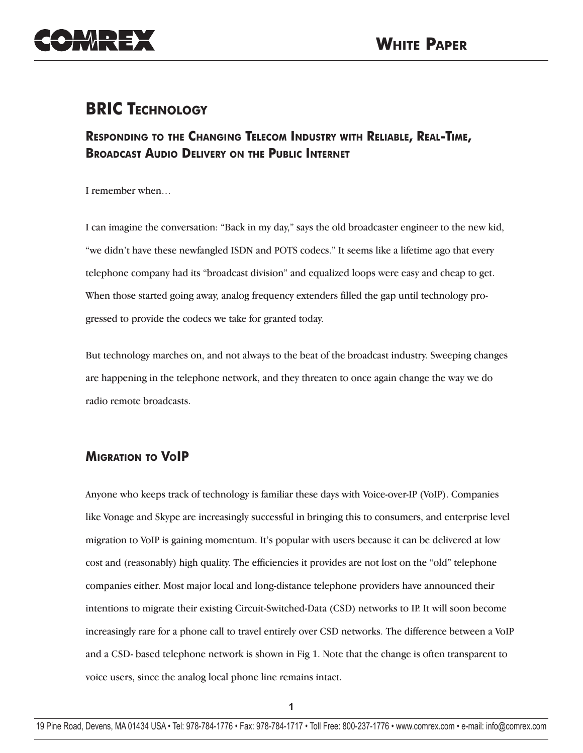

# **BRIC TECHNOLOGY**

# **RESPONDING TO THE CHANGING TELECOM INDUSTRY WITH RELIABLE, REAL-TIME, BROADCAST AUDIO DELIVERY ON THE PUBLIC INTERNET**

I remember when…

I can imagine the conversation: "Back in my day," says the old broadcaster engineer to the new kid, "we didn't have these newfangled ISDN and POTS codecs." It seems like a lifetime ago that every telephone company had its "broadcast division" and equalized loops were easy and cheap to get. When those started going away, analog frequency extenders filled the gap until technology progressed to provide the codecs we take for granted today.

But technology marches on, and not always to the beat of the broadcast industry. Sweeping changes are happening in the telephone network, and they threaten to once again change the way we do radio remote broadcasts.

# **MIGRATION TO VOIP**

Anyone who keeps track of technology is familiar these days with Voice-over-IP (VoIP). Companies like Vonage and Skype are increasingly successful in bringing this to consumers, and enterprise level migration to VoIP is gaining momentum. It's popular with users because it can be delivered at low cost and (reasonably) high quality. The efficiencies it provides are not lost on the "old" telephone companies either. Most major local and long-distance telephone providers have announced their intentions to migrate their existing Circuit-Switched-Data (CSD) networks to IP. It will soon become increasingly rare for a phone call to travel entirely over CSD networks. The difference between a VoIP and a CSD- based telephone network is shown in Fig 1. Note that the change is often transparent to voice users, since the analog local phone line remains intact.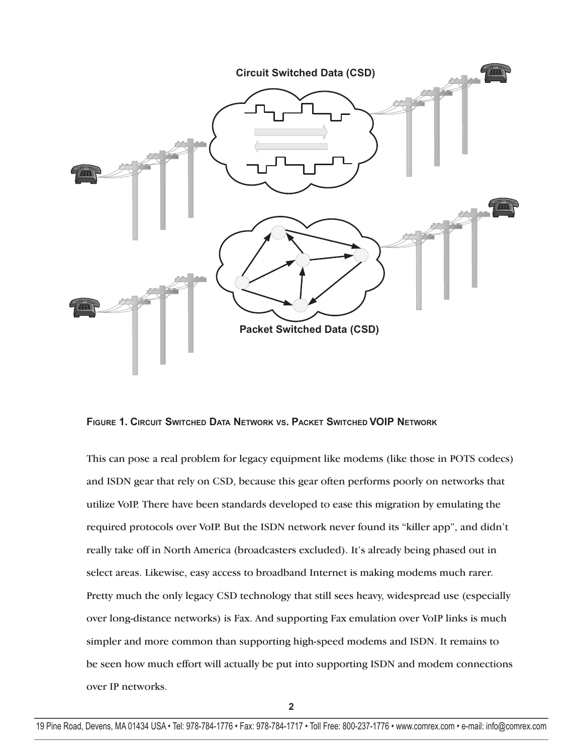

**FIGURE 1. CIRCUIT SWITCHED DATA NETWORK VS. PACKET SWITCHED VOIP NETWORK**

This can pose a real problem for legacy equipment like modems (like those in POTS codecs) and ISDN gear that rely on CSD, because this gear often performs poorly on networks that utilize VoIP. There have been standards developed to ease this migration by emulating the required protocols over VoIP. But the ISDN network never found its "killer app", and didn't really take off in North America (broadcasters excluded). It's already being phased out in select areas. Likewise, easy access to broadband Internet is making modems much rarer. Pretty much the only legacy CSD technology that still sees heavy, widespread use (especially over long-distance networks) is Fax. And supporting Fax emulation over VoIP links is much simpler and more common than supporting high-speed modems and ISDN. It remains to be seen how much effort will actually be put into supporting ISDN and modem connections over IP networks.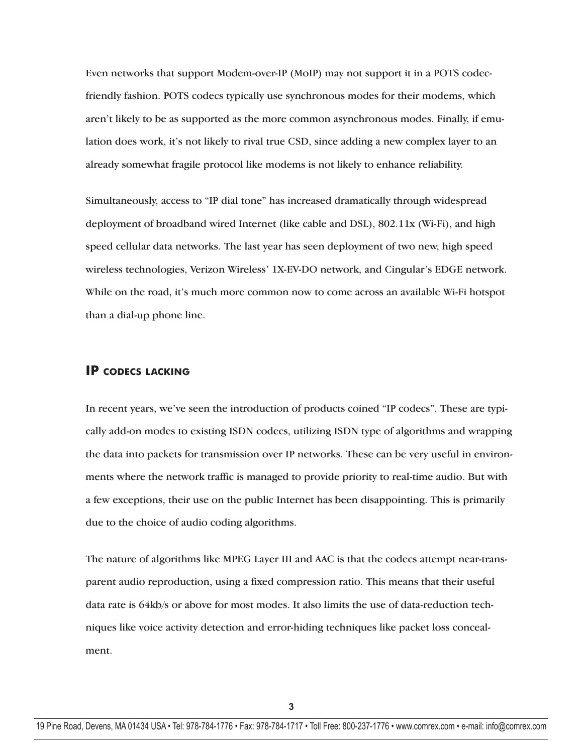Even networks that support Modem-over-IP (MoIP) may not support it in a POTS codecfriendly fashion. POTS codecs typically use synchronous modes for their modems, which aren't likely to be as supported as the more common asynchronous modes. Finally, if emulation does work, it's not likely to rival true CSD, since adding a new complex layer to an already somewhat fragile protocol like modems is not likely to enhance reliability.

Simultaneously, access to "IP dial tone" has increased dramatically through widespread deployment of broadband wired Internet (like cable and DSL), 802.11x (Wi-Fi), and high speed cellular data networks. The last year has seen deployment of two new, high speed wireless technologies, Verizon Wireless' 1X-EV-DO network, and Cingular's EDGE network. While on the road, it's much more common now to come across an available Wi-Fi hotspot than a dial-up phone line.

#### **IP CODECS LACKING**

In recent years, we've seen the introduction of products coined "IP codecs". These are typically add-on modes to existing ISDN codecs, utilizing ISDN type of algorithms and wrapping the data into packets for transmission over IP networks. These can be very useful in environments where the network traffic is managed to provide priority to real-time audio. But with a few exceptions, their use on the public Internet has been disappointing. This is primarily due to the choice of audio coding algorithms.

The nature of algorithms like MPEG Layer III and AAC is that the codecs attempt near-transparent audio reproduction, using a fixed compression ratio. This means that their useful data rate is 64kb/s or above for most modes. It also limits the use of data-reduction techniques like voice activity detection and error-hiding techniques like packet loss concealment.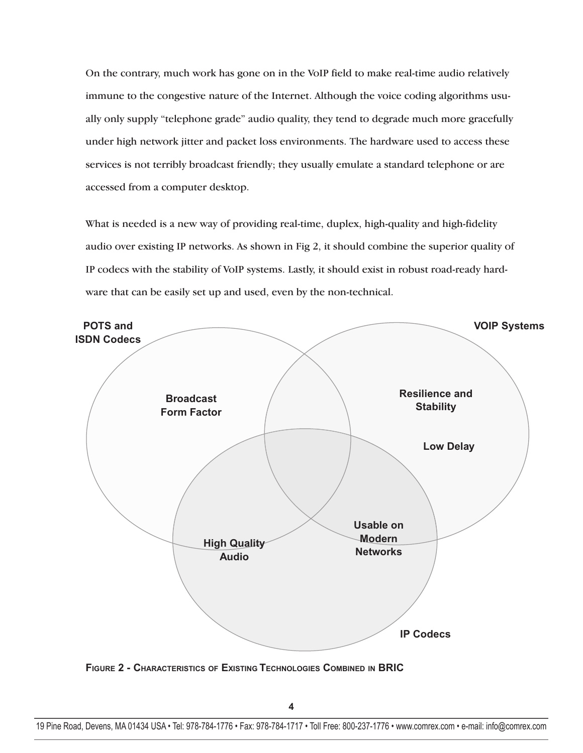On the contrary, much work has gone on in the VoIP field to make real-time audio relatively immune to the congestive nature of the Internet. Although the voice coding algorithms usually only supply "telephone grade" audio quality, they tend to degrade much more gracefully under high network jitter and packet loss environments. The hardware used to access these services is not terribly broadcast friendly; they usually emulate a standard telephone or are accessed from a computer desktop.

What is needed is a new way of providing real-time, duplex, high-quality and high-fidelity audio over existing IP networks. As shown in Fig 2, it should combine the superior quality of IP codecs with the stability of VoIP systems. Lastly, it should exist in robust road-ready hardware that can be easily set up and used, even by the non-technical.



**FIGURE 2 - CHARACTERISTICS OF EXISTING TECHNOLOGIES COMBINED IN BRIC**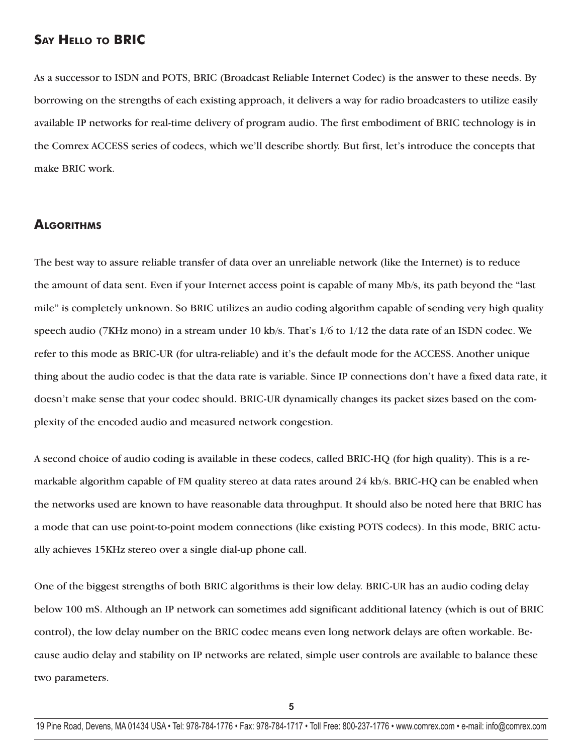## **SAY HELLO TO BRIC**

As a successor to ISDN and POTS, BRIC (Broadcast Reliable Internet Codec) is the answer to these needs. By borrowing on the strengths of each existing approach, it delivers a way for radio broadcasters to utilize easily available IP networks for real-time delivery of program audio. The first embodiment of BRIC technology is in the Comrex ACCESS series of codecs, which we'll describe shortly. But first, let's introduce the concepts that make BRIC work.

#### **ALGORITHMS**

The best way to assure reliable transfer of data over an unreliable network (like the Internet) is to reduce the amount of data sent. Even if your Internet access point is capable of many Mb/s, its path beyond the "last mile" is completely unknown. So BRIC utilizes an audio coding algorithm capable of sending very high quality speech audio (7KHz mono) in a stream under 10 kb/s. That's 1/6 to 1/12 the data rate of an ISDN codec. We refer to this mode as BRIC-UR (for ultra-reliable) and it's the default mode for the ACCESS. Another unique thing about the audio codec is that the data rate is variable. Since IP connections don't have a fixed data rate, it doesn't make sense that your codec should. BRIC-UR dynamically changes its packet sizes based on the complexity of the encoded audio and measured network congestion.

A second choice of audio coding is available in these codecs, called BRIC-HQ (for high quality). This is a remarkable algorithm capable of FM quality stereo at data rates around 24 kb/s. BRIC-HQ can be enabled when the networks used are known to have reasonable data throughput. It should also be noted here that BRIC has a mode that can use point-to-point modem connections (like existing POTS codecs). In this mode, BRIC actually achieves 15KHz stereo over a single dial-up phone call.

One of the biggest strengths of both BRIC algorithms is their low delay. BRIC-UR has an audio coding delay below 100 mS. Although an IP network can sometimes add significant additional latency (which is out of BRIC control), the low delay number on the BRIC codec means even long network delays are often workable. Because audio delay and stability on IP networks are related, simple user controls are available to balance these two parameters.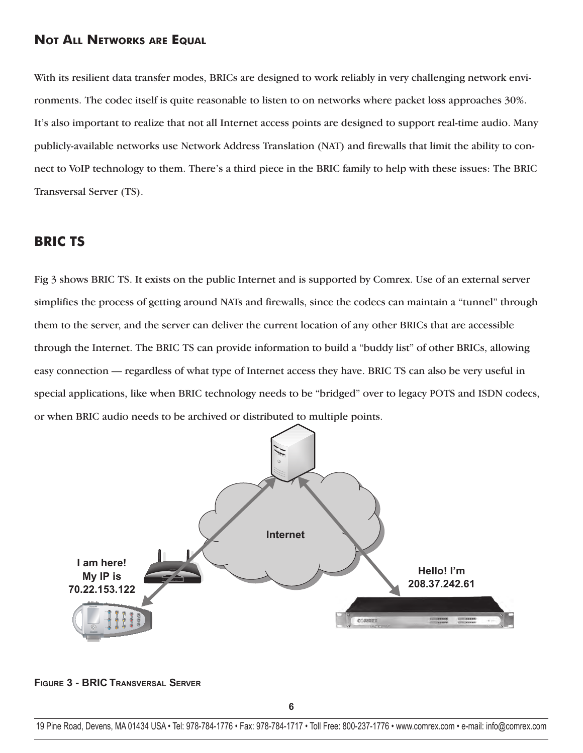### **NOT ALL NETWORKS ARE EQUAL**

With its resilient data transfer modes, BRICs are designed to work reliably in very challenging network environments. The codec itself is quite reasonable to listen to on networks where packet loss approaches 30%. It's also important to realize that not all Internet access points are designed to support real-time audio. Many publicly-available networks use Network Address Translation (NAT) and firewalls that limit the ability to connect to VoIP technology to them. There's a third piece in the BRIC family to help with these issues: The BRIC Transversal Server (TS).

# **BRIC TS**

Fig 3 shows BRIC TS. It exists on the public Internet and is supported by Comrex. Use of an external server simplifies the process of getting around NATs and firewalls, since the codecs can maintain a "tunnel" through them to the server, and the server can deliver the current location of any other BRICs that are accessible through the Internet. The BRIC TS can provide information to build a "buddy list" of other BRICs, allowing easy connection — regardless of what type of Internet access they have. BRIC TS can also be very useful in special applications, like when BRIC technology needs to be "bridged" over to legacy POTS and ISDN codecs, or when BRIC audio needs to be archived or distributed to multiple points.



**FIGURE 3 - BRIC TRANSVERSAL SERVER**

<sup>19</sup> Pine Road, Devens, MA 01434 USA • Tel: 978-784-1776 • Fax: 978-784-1717 • Toll Free: 800-237-1776 • www.comrex.com • e-mail: info@comrex.com